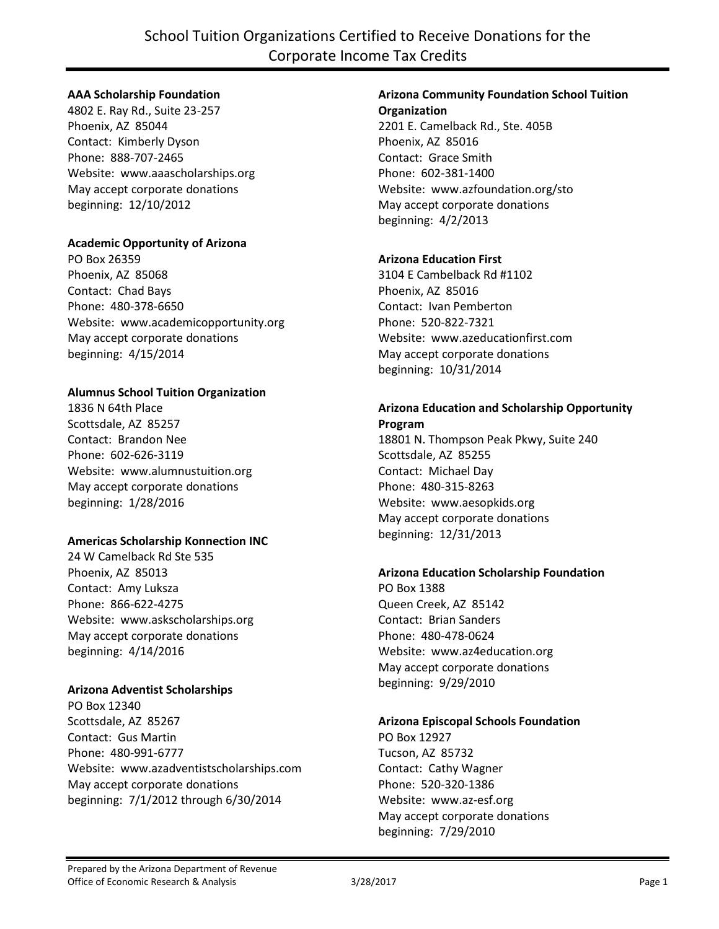## **AAA Scholarship Foundation**

4802 E. Ray Rd., Suite 23-257 Phoenix, AZ 85044 Contact: Kimberly Dyson Phone: 888-707-2465 Website: www.aaascholarships.org May accept corporate donations beginning: 12/10/2012

## **Academic Opportunity of Arizona**

PO Box 26359 Phoenix, AZ 85068 Contact: Chad Bays Phone: 480-378-6650 Website: www.academicopportunity.org May accept corporate donations beginning: 4/15/2014

#### **Alumnus School Tuition Organization**

1836 N 64th Place Scottsdale, AZ 85257 Contact: Brandon Nee Phone: 602-626-3119 Website: www.alumnustuition.org May accept corporate donations beginning: 1/28/2016

#### **Americas Scholarship Konnection INC**

24 W Camelback Rd Ste 535 Phoenix, AZ 85013 Contact: Amy Luksza Phone: 866-622-4275 Website: www.askscholarships.org May accept corporate donations beginning: 4/14/2016

## **Arizona Adventist Scholarships**

PO Box 12340 Scottsdale, AZ 85267 Contact: Gus Martin Phone: 480-991-6777 Website: www.azadventistscholarships.com May accept corporate donations beginning: 7/1/2012 through 6/30/2014

# **Arizona Community Foundation School Tuition**

**Organization** 2201 E. Camelback Rd., Ste. 405B Phoenix, AZ 85016 Contact: Grace Smith Phone: 602-381-1400 Website: www.azfoundation.org/sto May accept corporate donations beginning: 4/2/2013

## **Arizona Education First**

3104 E Cambelback Rd #1102 Phoenix, AZ 85016 Contact: Ivan Pemberton Phone: 520-822-7321 Website: www.azeducationfirst.com May accept corporate donations beginning: 10/31/2014

#### **Arizona Education and Scholarship Opportunity Program**

18801 N. Thompson Peak Pkwy, Suite 240 Scottsdale, AZ 85255 Contact: Michael Day Phone: 480-315-8263 Website: www.aesopkids.org May accept corporate donations beginning: 12/31/2013

## **Arizona Education Scholarship Foundation**

PO Box 1388 Queen Creek, AZ 85142 Contact: Brian Sanders Phone: 480-478-0624 Website: www.az4education.org May accept corporate donations beginning: 9/29/2010

#### **Arizona Episcopal Schools Foundation**

PO Box 12927 Tucson, AZ 85732 Contact: Cathy Wagner Phone: 520-320-1386 Website: www.az-esf.org May accept corporate donations beginning: 7/29/2010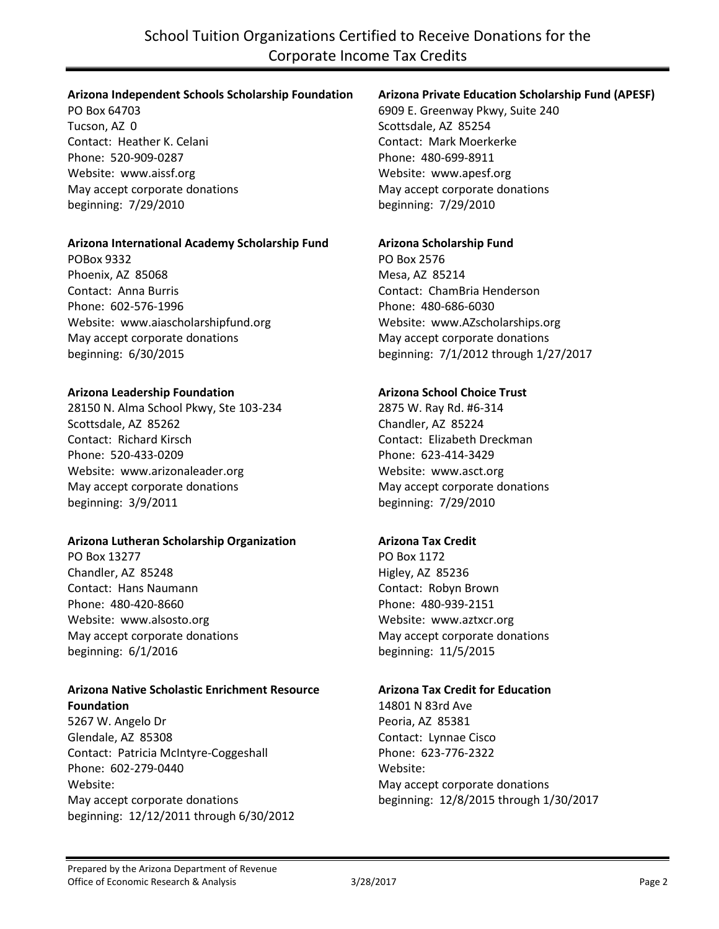#### **Arizona Independent Schools Scholarship Foundation**

PO Box 64703 Tucson, AZ 0 Contact: Heather K. Celani Phone: 520-909-0287 Website: www.aissf.org May accept corporate donations beginning: 7/29/2010

#### **Arizona International Academy Scholarship Fund**

POBox 9332 Phoenix, AZ 85068 Contact: Anna Burris Phone: 602-576-1996 Website: www.aiascholarshipfund.org May accept corporate donations beginning: 6/30/2015

#### **Arizona Leadership Foundation**

28150 N. Alma School Pkwy, Ste 103-234 Scottsdale, AZ 85262 Contact: Richard Kirsch Phone: 520-433-0209 Website: www.arizonaleader.org May accept corporate donations beginning: 3/9/2011

## **Arizona Lutheran Scholarship Organization**

PO Box 13277 Chandler, AZ 85248 Contact: Hans Naumann Phone: 480-420-8660 Website: www.alsosto.org May accept corporate donations beginning: 6/1/2016

#### **Arizona Native Scholastic Enrichment Resource Foundation**

5267 W. Angelo Dr Glendale, AZ 85308 Contact: Patricia McIntyre-Coggeshall Phone: 602-279-0440 Website: May accept corporate donations beginning: 12/12/2011 through 6/30/2012

## **Arizona Private Education Scholarship Fund (APESF)**

6909 E. Greenway Pkwy, Suite 240 Scottsdale, AZ 85254 Contact: Mark Moerkerke Phone: 480-699-8911 Website: www.apesf.org May accept corporate donations beginning: 7/29/2010

#### **Arizona Scholarship Fund**

PO Box 2576 Mesa, AZ 85214 Contact: ChamBria Henderson Phone: 480-686-6030 Website: www.AZscholarships.org May accept corporate donations beginning: 7/1/2012 through 1/27/2017

## **Arizona School Choice Trust**

2875 W. Ray Rd. #6-314 Chandler, AZ 85224 Contact: Elizabeth Dreckman Phone: 623-414-3429 Website: www.asct.org May accept corporate donations beginning: 7/29/2010

## **Arizona Tax Credit**

PO Box 1172 Higley, AZ 85236 Contact: Robyn Brown Phone: 480-939-2151 Website: www.aztxcr.org May accept corporate donations beginning: 11/5/2015

#### **Arizona Tax Credit for Education**

14801 N 83rd Ave Peoria, AZ 85381 Contact: Lynnae Cisco Phone: 623-776-2322 Website: May accept corporate donations beginning: 12/8/2015 through 1/30/2017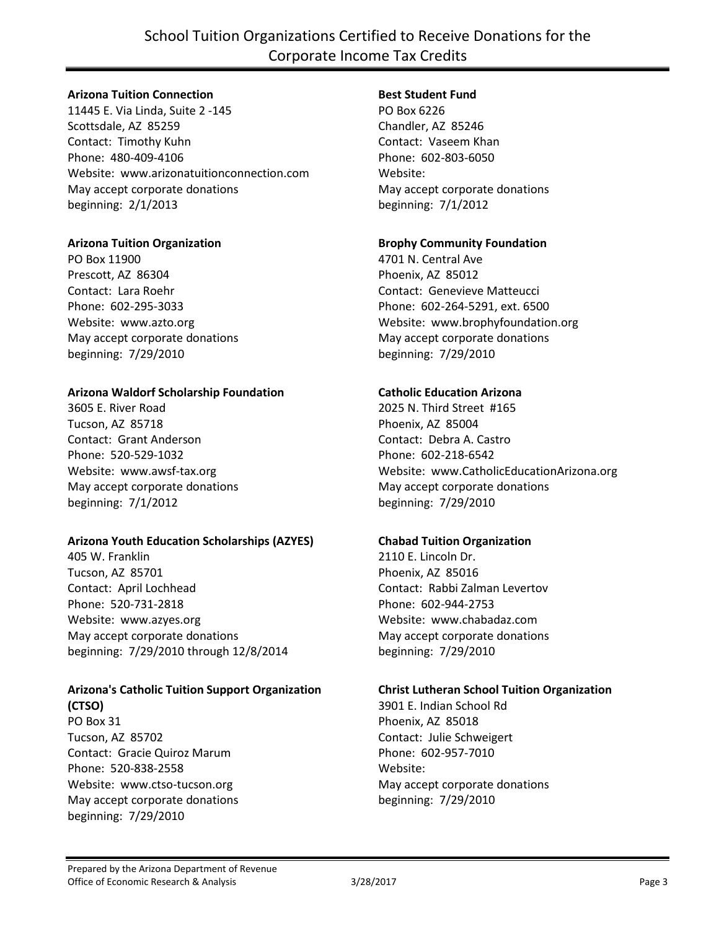## School Tuition Organizations Certified to Receive Donations for the Corporate Income Tax Credits

#### **Arizona Tuition Connection**

11445 E. Via Linda, Suite 2 -145 Scottsdale, AZ 85259 Contact: Timothy Kuhn Phone: 480-409-4106 Website: www.arizonatuitionconnection.com May accept corporate donations beginning: 2/1/2013

#### **Arizona Tuition Organization**

PO Box 11900 Prescott, AZ 86304 Contact: Lara Roehr Phone: 602-295-3033 Website: www.azto.org May accept corporate donations beginning: 7/29/2010

#### **Arizona Waldorf Scholarship Foundation**

3605 E. River Road Tucson, AZ 85718 Contact: Grant Anderson Phone: 520-529-1032 Website: www.awsf-tax.org May accept corporate donations beginning: 7/1/2012

## **Arizona Youth Education Scholarships (AZYES)**

405 W. Franklin Tucson, AZ 85701 Contact: April Lochhead Phone: 520-731-2818 Website: www.azyes.org May accept corporate donations beginning: 7/29/2010 through 12/8/2014

#### **Arizona's Catholic Tuition Support Organization (CTSO)**

PO Box 31 Tucson, AZ 85702 Contact: Gracie Quiroz Marum Phone: 520-838-2558 Website: www.ctso-tucson.org May accept corporate donations beginning: 7/29/2010

#### **Best Student Fund**

PO Box 6226 Chandler, AZ 85246 Contact: Vaseem Khan Phone: 602-803-6050 Website: May accept corporate donations beginning: 7/1/2012

#### **Brophy Community Foundation**

4701 N. Central Ave Phoenix, AZ 85012 Contact: Genevieve Matteucci Phone: 602-264-5291, ext. 6500 Website: www.brophyfoundation.org May accept corporate donations beginning: 7/29/2010

#### **Catholic Education Arizona**

2025 N. Third Street #165 Phoenix, AZ 85004 Contact: Debra A. Castro Phone: 602-218-6542 Website: www.CatholicEducationArizona.org May accept corporate donations beginning: 7/29/2010

## **Chabad Tuition Organization**

2110 E. Lincoln Dr. Phoenix, AZ 85016 Contact: Rabbi Zalman Levertov Phone: 602-944-2753 Website: www.chabadaz.com May accept corporate donations beginning: 7/29/2010

#### **Christ Lutheran School Tuition Organization**

3901 E. Indian School Rd Phoenix, AZ 85018 Contact: Julie Schweigert Phone: 602-957-7010 Website: May accept corporate donations beginning: 7/29/2010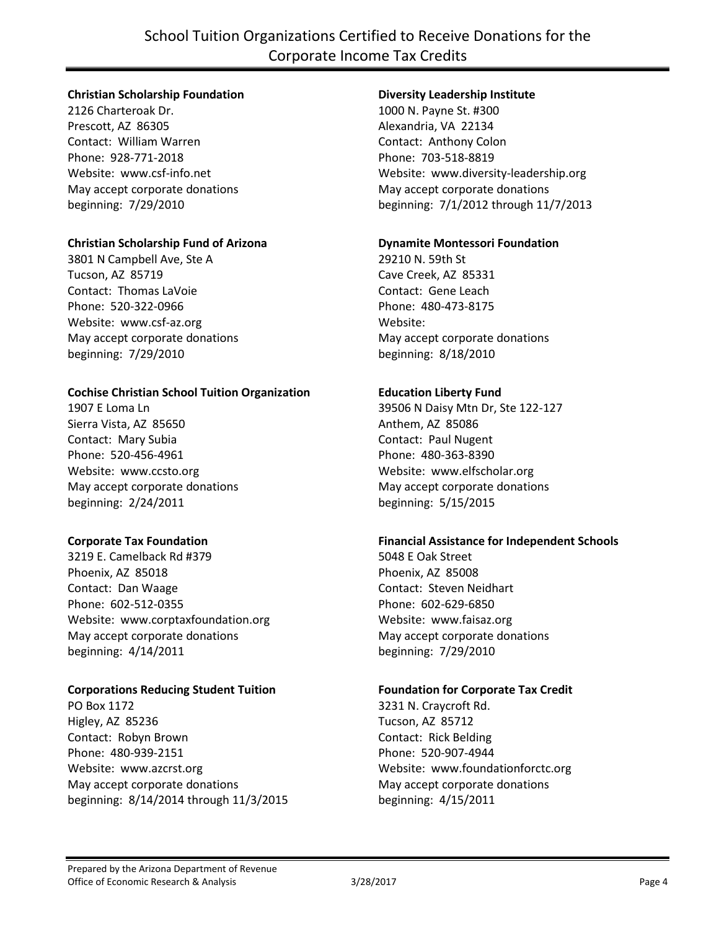## **Christian Scholarship Foundation**

2126 Charteroak Dr. Prescott, AZ 86305 Contact: William Warren Phone: 928-771-2018 Website: www.csf-info.net May accept corporate donations beginning: 7/29/2010

## **Christian Scholarship Fund of Arizona**

3801 N Campbell Ave, Ste A Tucson, AZ 85719 Contact: Thomas LaVoie Phone: 520-322-0966 Website: www.csf-az.org May accept corporate donations beginning: 7/29/2010

## **Cochise Christian School Tuition Organization**

1907 E Loma Ln Sierra Vista, AZ 85650 Contact: Mary Subia Phone: 520-456-4961 Website: www.ccsto.org May accept corporate donations beginning: 2/24/2011

## **Corporate Tax Foundation**

3219 E. Camelback Rd #379 Phoenix, AZ 85018 Contact: Dan Waage Phone: 602-512-0355 Website: www.corptaxfoundation.org May accept corporate donations beginning: 4/14/2011

## **Corporations Reducing Student Tuition**

PO Box 1172 Higley, AZ 85236 Contact: Robyn Brown Phone: 480-939-2151 Website: www.azcrst.org May accept corporate donations beginning: 8/14/2014 through 11/3/2015

## **Diversity Leadership Institute**

1000 N. Payne St. #300 Alexandria, VA 22134 Contact: Anthony Colon Phone: 703-518-8819 Website: www.diversity-leadership.org May accept corporate donations beginning: 7/1/2012 through 11/7/2013

#### **Dynamite Montessori Foundation**

29210 N. 59th St Cave Creek, AZ 85331 Contact: Gene Leach Phone: 480-473-8175 Website: May accept corporate donations beginning: 8/18/2010

## **Education Liberty Fund**

39506 N Daisy Mtn Dr, Ste 122-127 Anthem, AZ 85086 Contact: Paul Nugent Phone: 480-363-8390 Website: www.elfscholar.org May accept corporate donations beginning: 5/15/2015

## **Financial Assistance for Independent Schools**

5048 E Oak Street Phoenix, AZ 85008 Contact: Steven Neidhart Phone: 602-629-6850 Website: www.faisaz.org May accept corporate donations beginning: 7/29/2010

## **Foundation for Corporate Tax Credit**

3231 N. Craycroft Rd. Tucson, AZ 85712 Contact: Rick Belding Phone: 520-907-4944 Website: www.foundationforctc.org May accept corporate donations beginning: 4/15/2011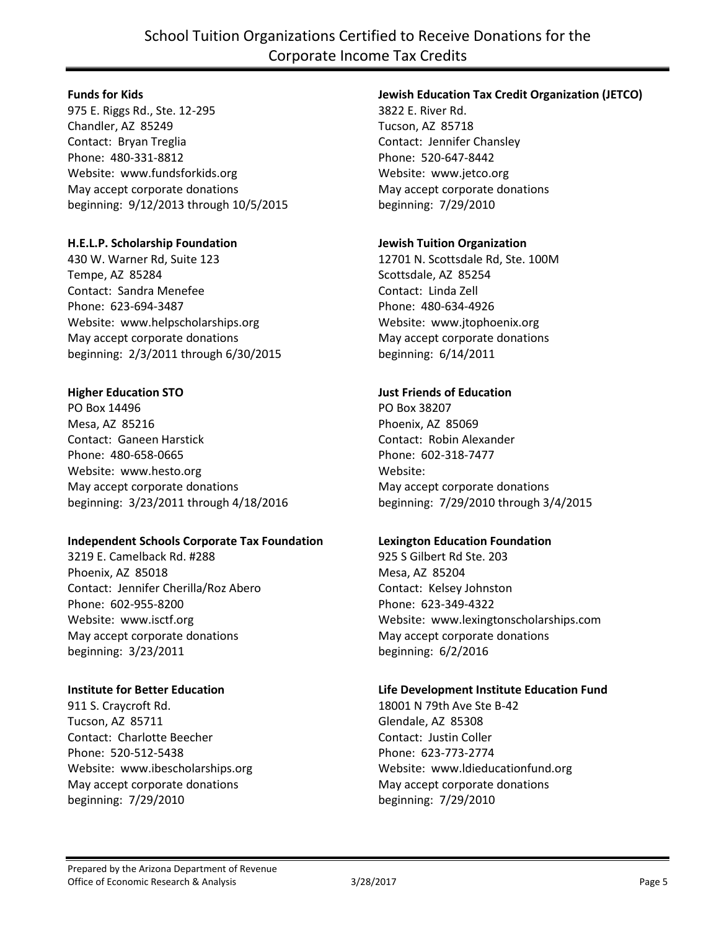#### **Funds for Kids**

975 E. Riggs Rd., Ste. 12-295 Chandler, AZ 85249 Contact: Bryan Treglia Phone: 480-331-8812 Website: www.fundsforkids.org May accept corporate donations beginning: 9/12/2013 through 10/5/2015

## **H.E.L.P. Scholarship Foundation**

430 W. Warner Rd, Suite 123 Tempe, AZ 85284 Contact: Sandra Menefee Phone: 623-694-3487 Website: www.helpscholarships.org May accept corporate donations beginning: 2/3/2011 through 6/30/2015

## **Higher Education STO**

PO Box 14496 Mesa, AZ 85216 Contact: Ganeen Harstick Phone: 480-658-0665 Website: www.hesto.org May accept corporate donations beginning: 3/23/2011 through 4/18/2016

## **Independent Schools Corporate Tax Foundation**

3219 E. Camelback Rd. #288 Phoenix, AZ 85018 Contact: Jennifer Cherilla/Roz Abero Phone: 602-955-8200 Website: www.isctf.org May accept corporate donations beginning: 3/23/2011

## **Institute for Better Education**

911 S. Craycroft Rd. Tucson, AZ 85711 Contact: Charlotte Beecher Phone: 520-512-5438 Website: www.ibescholarships.org May accept corporate donations beginning: 7/29/2010

## **Jewish Education Tax Credit Organization (JETCO)**

3822 E. River Rd. Tucson, AZ 85718 Contact: Jennifer Chansley Phone: 520-647-8442 Website: www.jetco.org May accept corporate donations beginning: 7/29/2010

## **Jewish Tuition Organization**

12701 N. Scottsdale Rd, Ste. 100M Scottsdale, AZ 85254 Contact: Linda Zell Phone: 480-634-4926 Website: www.jtophoenix.org May accept corporate donations beginning: 6/14/2011

#### **Just Friends of Education**

PO Box 38207 Phoenix, AZ 85069 Contact: Robin Alexander Phone: 602-318-7477 Website: May accept corporate donations beginning: 7/29/2010 through 3/4/2015

## **Lexington Education Foundation**

925 S Gilbert Rd Ste. 203 Mesa, AZ 85204 Contact: Kelsey Johnston Phone: 623-349-4322 Website: www.lexingtonscholarships.com May accept corporate donations beginning: 6/2/2016

## **Life Development Institute Education Fund**

18001 N 79th Ave Ste B-42 Glendale, AZ 85308 Contact: Justin Coller Phone: 623-773-2774 Website: www.ldieducationfund.org May accept corporate donations beginning: 7/29/2010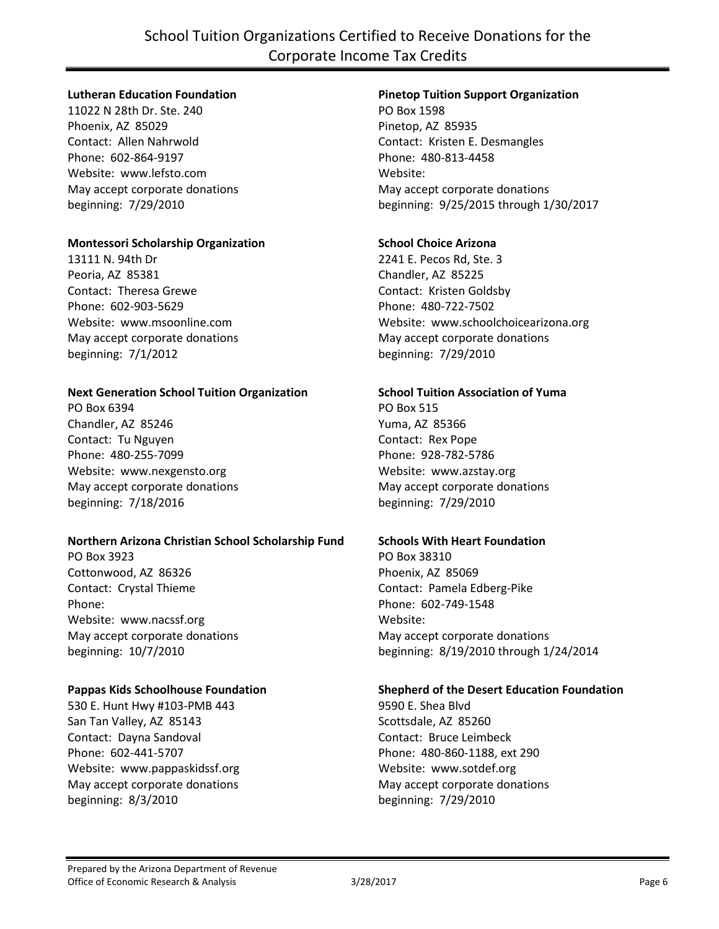## School Tuition Organizations Certified to Receive Donations for the Corporate Income Tax Credits

#### **Lutheran Education Foundation**

11022 N 28th Dr. Ste. 240 Phoenix, AZ 85029 Contact: Allen Nahrwold Phone: 602-864-9197 Website: www.lefsto.com May accept corporate donations beginning: 7/29/2010

#### **Montessori Scholarship Organization**

13111 N. 94th Dr Peoria, AZ 85381 Contact: Theresa Grewe Phone: 602-903-5629 Website: www.msoonline.com May accept corporate donations beginning: 7/1/2012

#### **Next Generation School Tuition Organization**

PO Box 6394 Chandler, AZ 85246 Contact: Tu Nguyen Phone: 480-255-7099 Website: www.nexgensto.org May accept corporate donations beginning: 7/18/2016

#### **Northern Arizona Christian School Scholarship Fund**

PO Box 3923 Cottonwood, AZ 86326 Contact: Crystal Thieme Phone: Website: www.nacssf.org May accept corporate donations beginning: 10/7/2010

#### **Pappas Kids Schoolhouse Foundation**

530 E. Hunt Hwy #103-PMB 443 San Tan Valley, AZ 85143 Contact: Dayna Sandoval Phone: 602-441-5707 Website: www.pappaskidssf.org May accept corporate donations beginning: 8/3/2010

## **Pinetop Tuition Support Organization**

PO Box 1598 Pinetop, AZ 85935 Contact: Kristen E. Desmangles Phone: 480-813-4458 Website: May accept corporate donations beginning: 9/25/2015 through 1/30/2017

#### **School Choice Arizona**

2241 E. Pecos Rd, Ste. 3 Chandler, AZ 85225 Contact: Kristen Goldsby Phone: 480-722-7502 Website: www.schoolchoicearizona.org May accept corporate donations beginning: 7/29/2010

#### **School Tuition Association of Yuma**

PO Box 515 Yuma, AZ 85366 Contact: Rex Pope Phone: 928-782-5786 Website: www.azstay.org May accept corporate donations beginning: 7/29/2010

## **Schools With Heart Foundation**

PO Box 38310 Phoenix, AZ 85069 Contact: Pamela Edberg-Pike Phone: 602-749-1548 Website: May accept corporate donations beginning: 8/19/2010 through 1/24/2014

#### **Shepherd of the Desert Education Foundation**

9590 E. Shea Blvd Scottsdale, AZ 85260 Contact: Bruce Leimbeck Phone: 480-860-1188, ext 290 Website: www.sotdef.org May accept corporate donations beginning: 7/29/2010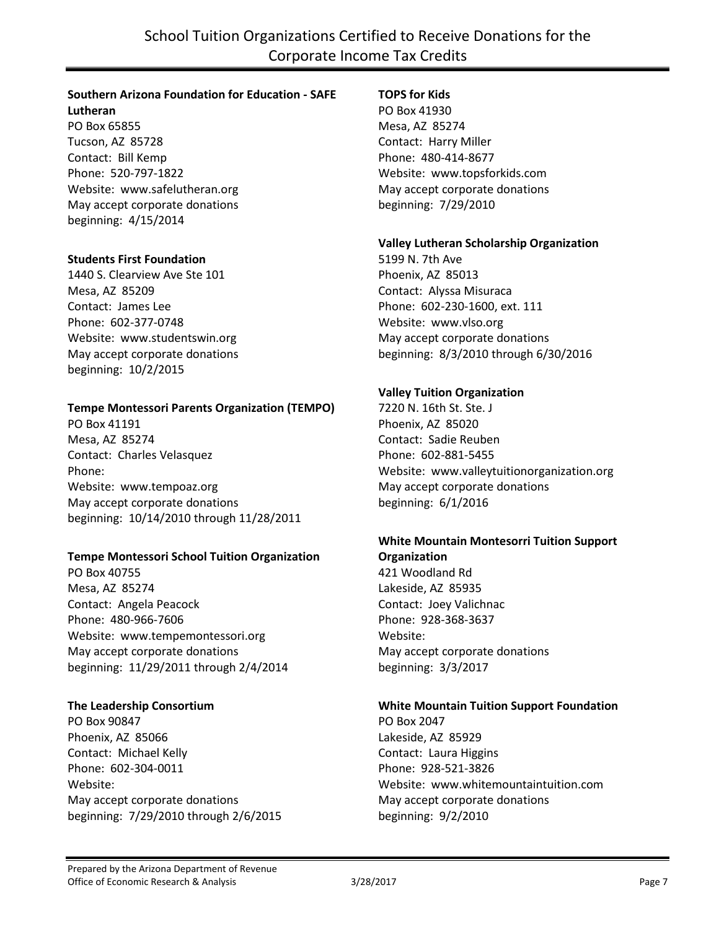## **Southern Arizona Foundation for Education - SAFE**

**Lutheran** PO Box 65855 Tucson, AZ 85728 Contact: Bill Kemp Phone: 520-797-1822 Website: www.safelutheran.org May accept corporate donations beginning: 4/15/2014

#### **Students First Foundation**

1440 S. Clearview Ave Ste 101 Mesa, AZ 85209 Contact: James Lee Phone: 602-377-0748 Website: www.studentswin.org May accept corporate donations beginning: 10/2/2015

#### **Tempe Montessori Parents Organization (TEMPO)**

PO Box 41191 Mesa, AZ 85274 Contact: Charles Velasquez Phone: Website: www.tempoaz.org May accept corporate donations beginning: 10/14/2010 through 11/28/2011

#### **Tempe Montessori School Tuition Organization**

PO Box 40755 Mesa, AZ 85274 Contact: Angela Peacock Phone: 480-966-7606 Website: www.tempemontessori.org May accept corporate donations beginning: 11/29/2011 through 2/4/2014

## **The Leadership Consortium**

PO Box 90847 Phoenix, AZ 85066 Contact: Michael Kelly Phone: 602-304-0011 Website: May accept corporate donations beginning: 7/29/2010 through 2/6/2015

## **TOPS for Kids**

PO Box 41930 Mesa, AZ 85274 Contact: Harry Miller Phone: 480-414-8677 Website: www.topsforkids.com May accept corporate donations beginning: 7/29/2010

#### **Valley Lutheran Scholarship Organization**

5199 N. 7th Ave Phoenix, AZ 85013 Contact: Alyssa Misuraca Phone: 602-230-1600, ext. 111 Website: www.vlso.org May accept corporate donations beginning: 8/3/2010 through 6/30/2016

#### **Valley Tuition Organization**

7220 N. 16th St. Ste. J Phoenix, AZ 85020 Contact: Sadie Reuben Phone: 602-881-5455 Website: www.valleytuitionorganization.org May accept corporate donations beginning: 6/1/2016

# **White Mountain Montesorri Tuition Support**

**Organization** 421 Woodland Rd Lakeside, AZ 85935 Contact: Joey Valichnac Phone: 928-368-3637 Website: May accept corporate donations beginning: 3/3/2017

#### **White Mountain Tuition Support Foundation**

PO Box 2047 Lakeside, AZ 85929 Contact: Laura Higgins Phone: 928-521-3826 Website: www.whitemountaintuition.com May accept corporate donations beginning: 9/2/2010